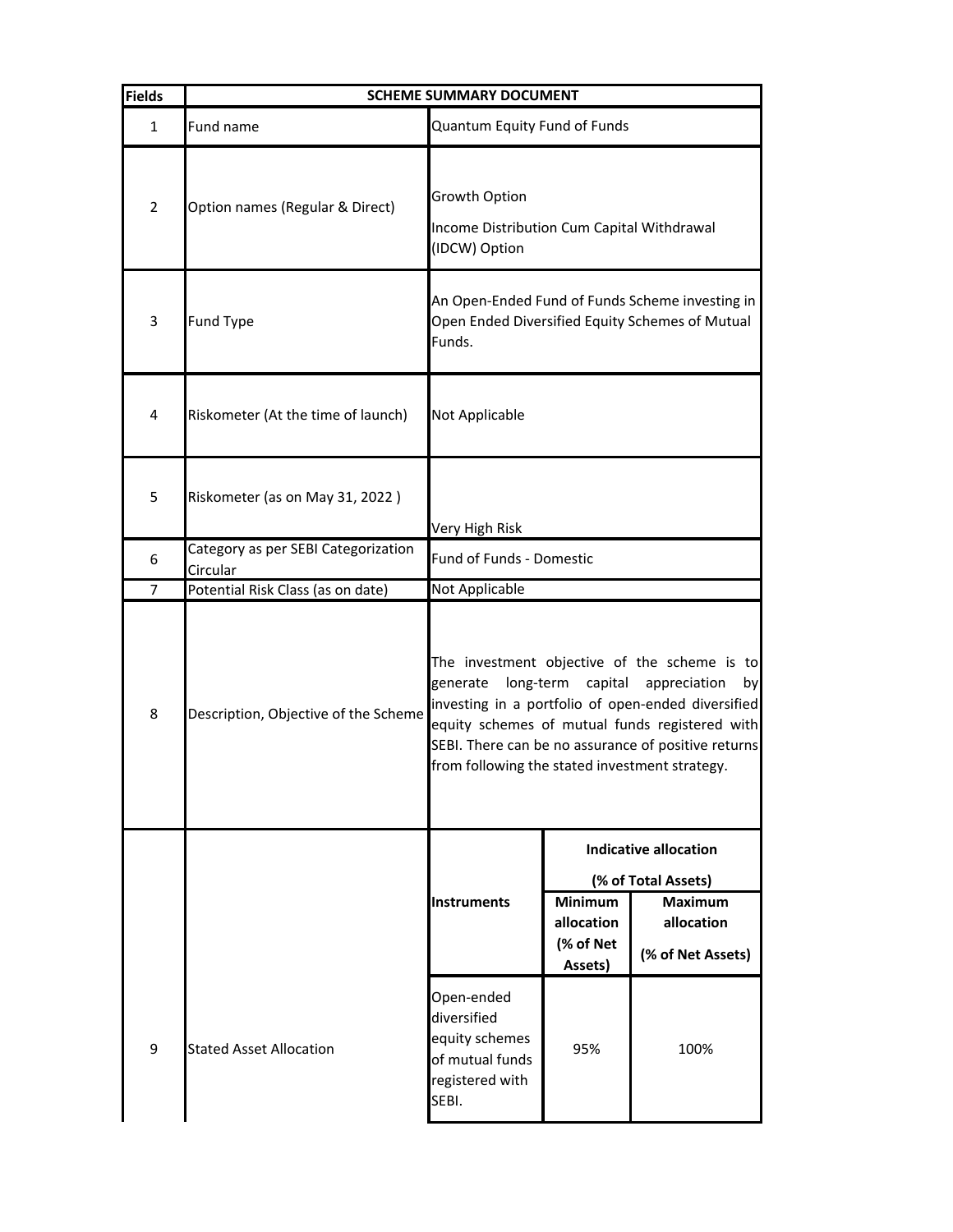| <b>Fields</b>  | <b>SCHEME SUMMARY DOCUMENT</b>                  |                                                                                                              |                                                                                                                                                                                                                                                                                                             |                                                   |
|----------------|-------------------------------------------------|--------------------------------------------------------------------------------------------------------------|-------------------------------------------------------------------------------------------------------------------------------------------------------------------------------------------------------------------------------------------------------------------------------------------------------------|---------------------------------------------------|
| $\mathbf{1}$   | Fund name                                       | Quantum Equity Fund of Funds                                                                                 |                                                                                                                                                                                                                                                                                                             |                                                   |
| $\overline{2}$ | Option names (Regular & Direct)                 | Growth Option<br>Income Distribution Cum Capital Withdrawal<br>(IDCW) Option                                 |                                                                                                                                                                                                                                                                                                             |                                                   |
| 3              | <b>Fund Type</b>                                | An Open-Ended Fund of Funds Scheme investing in<br>Open Ended Diversified Equity Schemes of Mutual<br>Funds. |                                                                                                                                                                                                                                                                                                             |                                                   |
| 4              | Riskometer (At the time of launch)              | Not Applicable                                                                                               |                                                                                                                                                                                                                                                                                                             |                                                   |
| 5              | Riskometer (as on May 31, 2022)                 | Very High Risk                                                                                               |                                                                                                                                                                                                                                                                                                             |                                                   |
| 6              | Category as per SEBI Categorization<br>Circular | Fund of Funds - Domestic                                                                                     |                                                                                                                                                                                                                                                                                                             |                                                   |
| 7              | Potential Risk Class (as on date)               | Not Applicable                                                                                               |                                                                                                                                                                                                                                                                                                             |                                                   |
| 8              | Description, Objective of the Scheme            | generate                                                                                                     | The investment objective of the scheme is to<br>long-term<br>capital<br>appreciation<br>by<br>investing in a portfolio of open-ended diversified<br>equity schemes of mutual funds registered with<br>SEBI. There can be no assurance of positive returns<br>from following the stated investment strategy. |                                                   |
|                |                                                 | <b>Indicative allocation</b>                                                                                 |                                                                                                                                                                                                                                                                                                             |                                                   |
|                |                                                 |                                                                                                              |                                                                                                                                                                                                                                                                                                             | (% of Total Assets)                               |
|                |                                                 | <b>Instruments</b>                                                                                           | <b>Minimum</b><br>allocation<br>(% of Net<br>Assets)                                                                                                                                                                                                                                                        | <b>Maximum</b><br>allocation<br>(% of Net Assets) |
| 9              | <b>Stated Asset Allocation</b>                  | Open-ended<br>diversified<br>equity schemes<br>of mutual funds<br>registered with<br>SEBI.                   | 95%                                                                                                                                                                                                                                                                                                         | 100%                                              |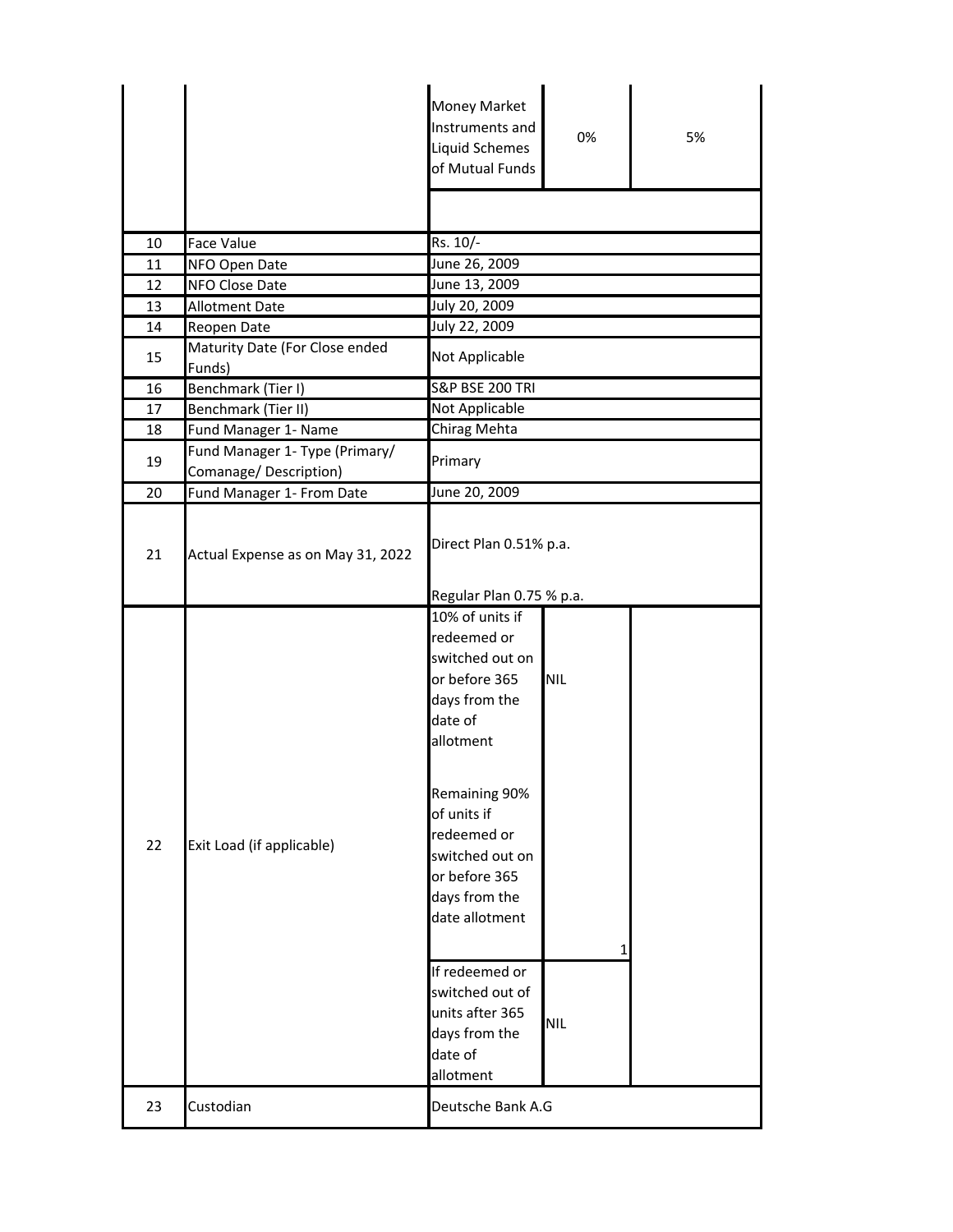|    |                                                         | Money Market<br>Instruments and<br>Liquid Schemes<br>of Mutual Funds                                                                                                                                                                                                                                                               | 0%                | 5% |
|----|---------------------------------------------------------|------------------------------------------------------------------------------------------------------------------------------------------------------------------------------------------------------------------------------------------------------------------------------------------------------------------------------------|-------------------|----|
|    |                                                         |                                                                                                                                                                                                                                                                                                                                    |                   |    |
| 10 | <b>Face Value</b>                                       | Rs. 10/-                                                                                                                                                                                                                                                                                                                           |                   |    |
| 11 | NFO Open Date                                           | June 26, 2009                                                                                                                                                                                                                                                                                                                      |                   |    |
| 12 | NFO Close Date                                          | June 13, 2009                                                                                                                                                                                                                                                                                                                      |                   |    |
| 13 | <b>Allotment Date</b>                                   | July 20, 2009                                                                                                                                                                                                                                                                                                                      |                   |    |
| 14 | Reopen Date                                             | July 22, 2009                                                                                                                                                                                                                                                                                                                      |                   |    |
| 15 | Maturity Date (For Close ended<br>Funds)                | Not Applicable                                                                                                                                                                                                                                                                                                                     |                   |    |
| 16 | Benchmark (Tier I)                                      | <b>S&amp;P BSE 200 TRI</b>                                                                                                                                                                                                                                                                                                         |                   |    |
| 17 | Benchmark (Tier II)                                     | Not Applicable                                                                                                                                                                                                                                                                                                                     |                   |    |
| 18 | Fund Manager 1- Name                                    | Chirag Mehta                                                                                                                                                                                                                                                                                                                       |                   |    |
| 19 | Fund Manager 1- Type (Primary/<br>Comanage/Description) | Primary                                                                                                                                                                                                                                                                                                                            |                   |    |
| 20 | Fund Manager 1- From Date                               | June 20, 2009                                                                                                                                                                                                                                                                                                                      |                   |    |
| 21 | Actual Expense as on May 31, 2022                       | Direct Plan 0.51% p.a.<br>Regular Plan 0.75 % p.a.                                                                                                                                                                                                                                                                                 |                   |    |
| 22 | Exit Load (if applicable)                               | 10% of units if<br>redeemed or<br>switched out on<br>or before 365<br>days from the<br>date of<br>allotment<br>Remaining 90%<br>of units if<br>redeemed or<br>switched out on<br>or before 365<br>days from the<br>date allotment<br>If redeemed or<br>switched out of<br>units after 365<br>days from the<br>date of<br>allotment | NIL<br><b>NIL</b> |    |
| 23 | Custodian                                               | Deutsche Bank A.G                                                                                                                                                                                                                                                                                                                  |                   |    |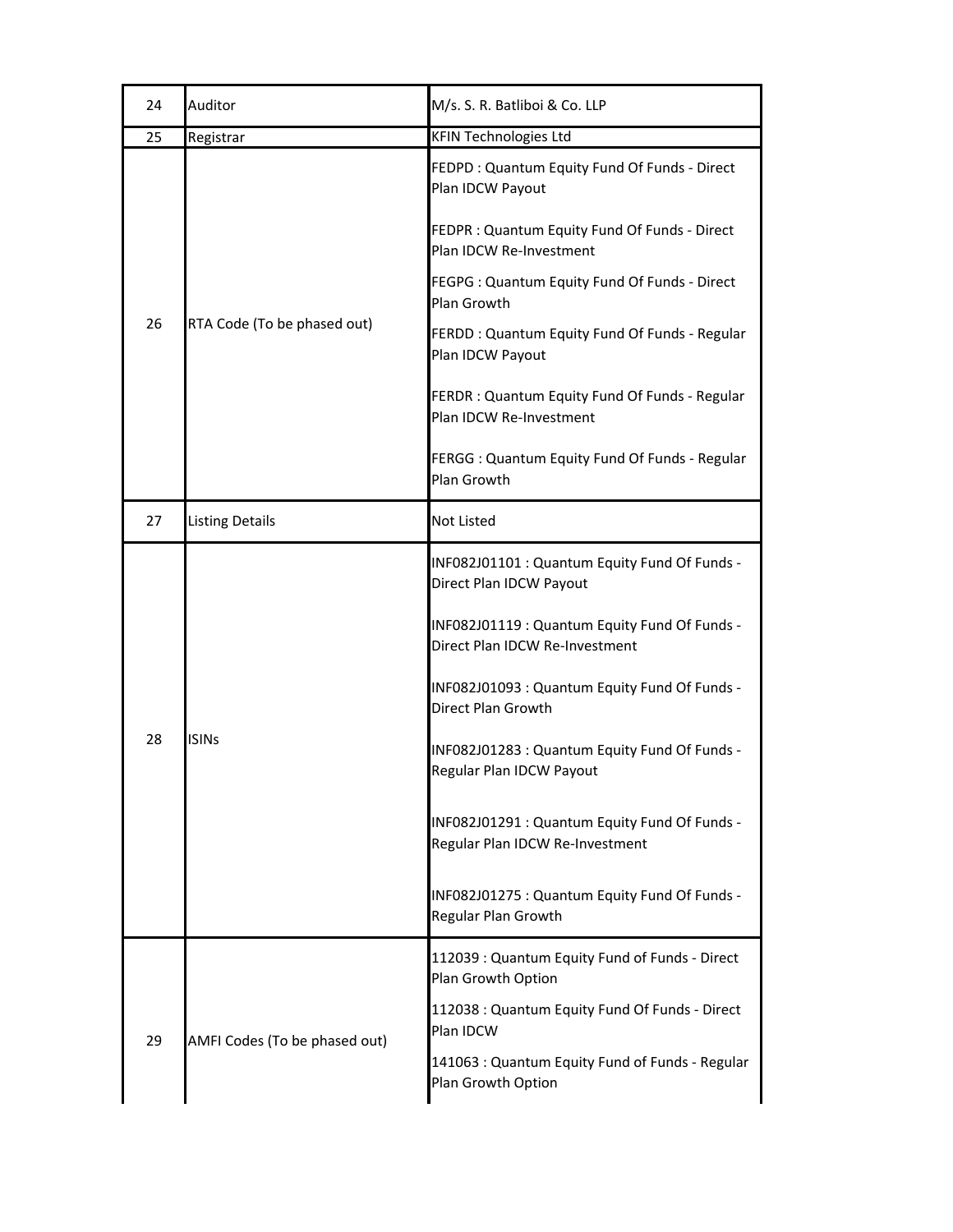| 24 | Auditor                       | M/s. S. R. Batliboi & Co. LLP                                                    |  |
|----|-------------------------------|----------------------------------------------------------------------------------|--|
| 25 | Registrar                     | <b>KFIN Technologies Ltd</b>                                                     |  |
| 26 | RTA Code (To be phased out)   | FEDPD: Quantum Equity Fund Of Funds - Direct<br>Plan IDCW Payout                 |  |
|    |                               | FEDPR : Quantum Equity Fund Of Funds - Direct<br>Plan IDCW Re-Investment         |  |
|    |                               | FEGPG : Quantum Equity Fund Of Funds - Direct<br>Plan Growth                     |  |
|    |                               | FERDD: Quantum Equity Fund Of Funds - Regular<br>Plan IDCW Payout                |  |
|    |                               | FERDR: Quantum Equity Fund Of Funds - Regular<br>Plan IDCW Re-Investment         |  |
|    |                               | FERGG : Quantum Equity Fund Of Funds - Regular<br>Plan Growth                    |  |
| 27 | <b>Listing Details</b>        | Not Listed                                                                       |  |
| 28 | <b>ISINs</b>                  | INF082J01101 : Quantum Equity Fund Of Funds -<br>Direct Plan IDCW Payout         |  |
|    |                               | INF082J01119 : Quantum Equity Fund Of Funds -<br>Direct Plan IDCW Re-Investment  |  |
|    |                               | INF082J01093 : Quantum Equity Fund Of Funds -<br>Direct Plan Growth              |  |
|    |                               | INF082J01283 : Quantum Equity Fund Of Funds -<br>Regular Plan IDCW Payout        |  |
|    |                               | INF082J01291 : Quantum Equity Fund Of Funds -<br>Regular Plan IDCW Re-Investment |  |
|    |                               | INF082J01275 : Quantum Equity Fund Of Funds -<br>Regular Plan Growth             |  |
|    |                               | 112039: Quantum Equity Fund of Funds - Direct<br>Plan Growth Option              |  |
| 29 | AMFI Codes (To be phased out) | 112038 : Quantum Equity Fund Of Funds - Direct<br>Plan IDCW                      |  |
|    |                               | 141063 : Quantum Equity Fund of Funds - Regular<br>Plan Growth Option            |  |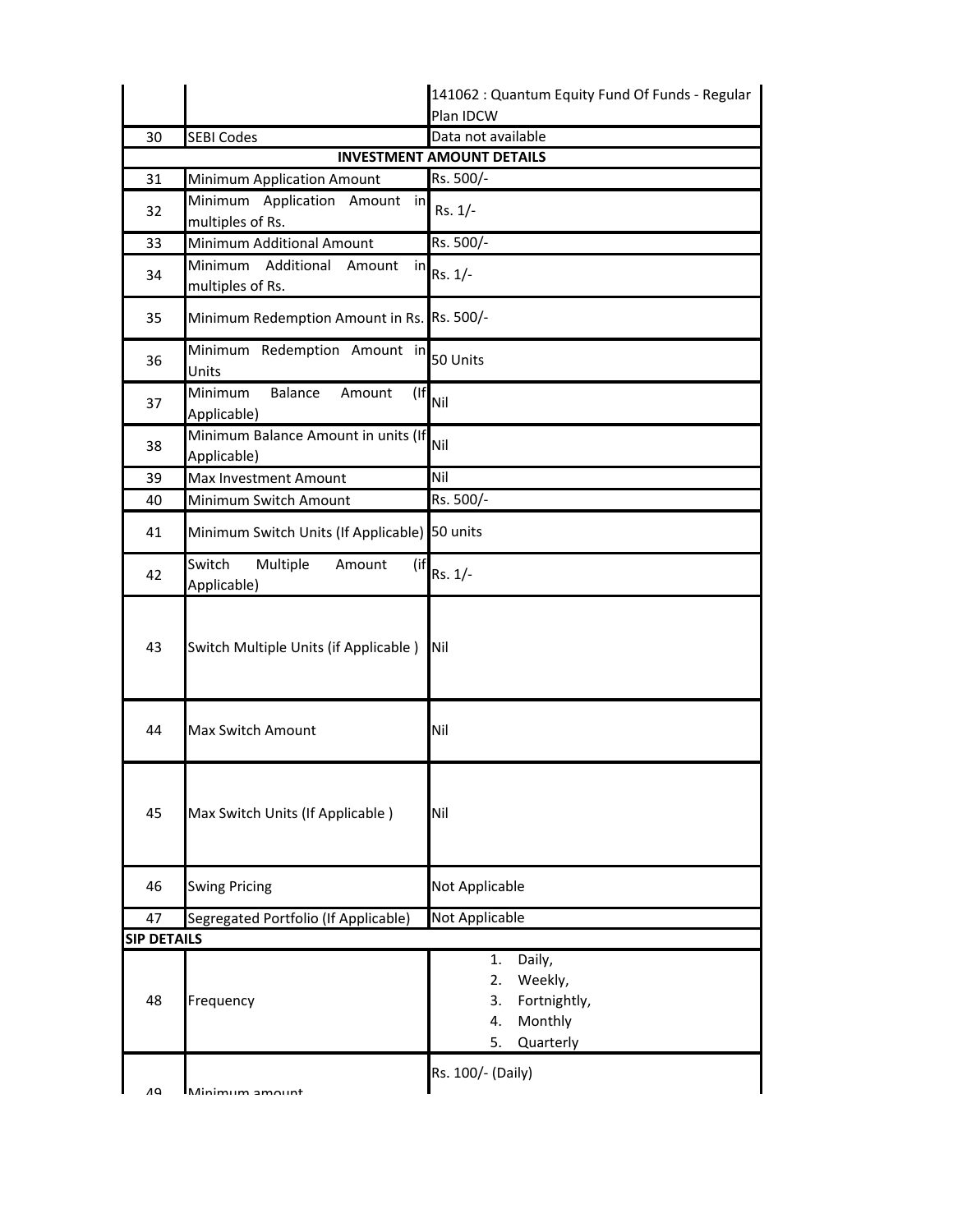|                    |                                                        | 141062 : Quantum Equity Fund Of Funds - Regular                                         |
|--------------------|--------------------------------------------------------|-----------------------------------------------------------------------------------------|
|                    |                                                        | Plan IDCW                                                                               |
| 30                 | <b>SEBI Codes</b>                                      | Data not available                                                                      |
|                    |                                                        | <b>INVESTMENT AMOUNT DETAILS</b>                                                        |
| 31                 | <b>Minimum Application Amount</b>                      | Rs. 500/-                                                                               |
| 32                 | Minimum Application Amount in<br>multiples of Rs.      | Rs. 1/-                                                                                 |
| 33                 | Minimum Additional Amount                              | Rs. 500/-                                                                               |
| 34                 | Minimum<br>Additional<br>Amount in<br>multiples of Rs. | $Rs. 1/-$                                                                               |
| 35                 | Minimum Redemption Amount in Rs. Rs. 500/-             |                                                                                         |
| 36                 | Minimum Redemption Amount in<br>Units                  | 50 Units                                                                                |
| 37                 | $($ If<br>Minimum<br>Balance<br>Amount<br>Applicable)  | Nil                                                                                     |
| 38                 | Minimum Balance Amount in units (If<br>Applicable)     | Nil                                                                                     |
| 39                 | Max Investment Amount                                  | Nil                                                                                     |
| 40                 | Minimum Switch Amount                                  | Rs. 500/-                                                                               |
| 41                 | Minimum Switch Units (If Applicable) 50 units          |                                                                                         |
| 42                 | Switch<br>Multiple<br>Amount<br>(if<br>Applicable)     | Rs. 1/-                                                                                 |
| 43                 | Switch Multiple Units (if Applicable)                  | Nil                                                                                     |
| 44                 | Max Switch Amount                                      | Nil                                                                                     |
| 45                 | Max Switch Units (If Applicable)                       | Nil                                                                                     |
| 46                 | <b>Swing Pricing</b>                                   | Not Applicable                                                                          |
| 47                 | Segregated Portfolio (If Applicable)                   | Not Applicable                                                                          |
| <b>SIP DETAILS</b> |                                                        |                                                                                         |
| 48                 | Frequency                                              | Daily,<br>1.<br>Weekly,<br>2.<br>Fortnightly,<br>3.<br>Monthly<br>4.<br>5.<br>Quarterly |
| Λ۵                 | Minimum amount                                         | Rs. 100/- (Daily)                                                                       |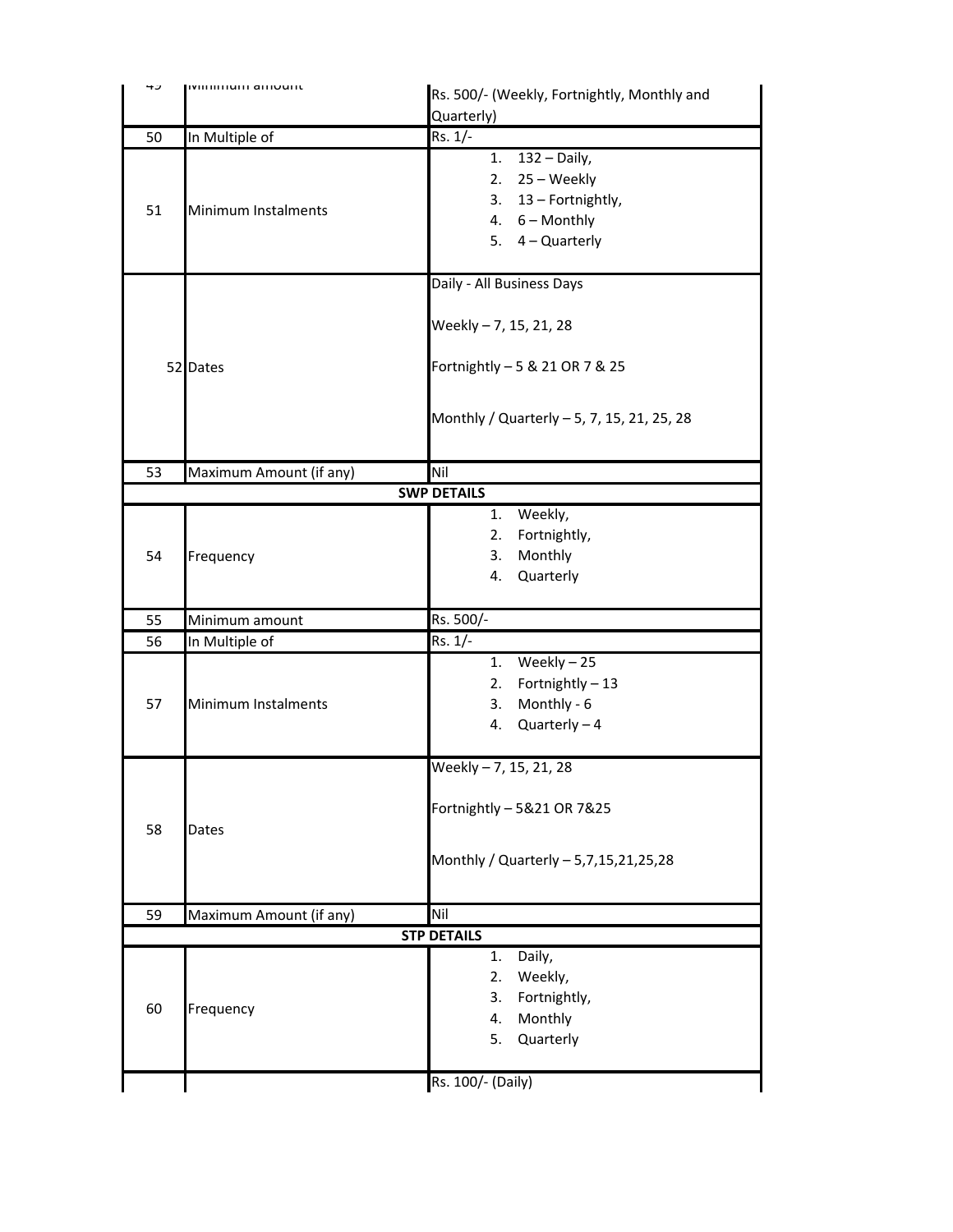| 45 | <b>IVIIIIIIIIIUIII</b> aIIIUUIIL | Rs. 500/- (Weekly, Fortnightly, Monthly and |  |  |
|----|----------------------------------|---------------------------------------------|--|--|
|    |                                  | Quarterly)                                  |  |  |
| 50 | In Multiple of                   | Rs. 1/-                                     |  |  |
|    |                                  | 1. $132 - Daily$ ,                          |  |  |
|    |                                  | 2. $25 - \text{Weekly}$                     |  |  |
|    |                                  | 3. 13 - Fortnightly,                        |  |  |
| 51 | Minimum Instalments              | 4. $6 -$ Monthly                            |  |  |
|    |                                  | 5. $4 -$ Quarterly                          |  |  |
|    |                                  |                                             |  |  |
|    |                                  | Daily - All Business Days                   |  |  |
|    |                                  |                                             |  |  |
|    |                                  | Weekly - 7, 15, 21, 28                      |  |  |
|    |                                  |                                             |  |  |
|    | 52 Dates                         | Fortnightly - 5 & 21 OR 7 & 25              |  |  |
|    |                                  |                                             |  |  |
|    |                                  |                                             |  |  |
|    |                                  | Monthly / Quarterly - 5, 7, 15, 21, 25, 28  |  |  |
|    |                                  |                                             |  |  |
| 53 | Maximum Amount (if any)          | Nil                                         |  |  |
|    |                                  | <b>SWP DETAILS</b>                          |  |  |
|    |                                  | Weekly,<br>1.                               |  |  |
|    |                                  | Fortnightly,<br>2.                          |  |  |
| 54 | Frequency                        | Monthly<br>3.                               |  |  |
|    |                                  | Quarterly<br>4.                             |  |  |
|    |                                  |                                             |  |  |
| 55 | Minimum amount                   | Rs. 500/-                                   |  |  |
| 56 | In Multiple of                   | Rs. 1/-                                     |  |  |
|    |                                  | 1. Weekly $-25$                             |  |  |
|    |                                  | Fortnightly-13<br>2.                        |  |  |
| 57 | Minimum Instalments              | Monthly - 6<br>3.                           |  |  |
|    |                                  | 4. $Quarterly - 4$                          |  |  |
|    |                                  |                                             |  |  |
|    |                                  | Weekly - 7, 15, 21, 28                      |  |  |
|    |                                  |                                             |  |  |
|    |                                  | Fortnightly - 5&21 OR 7&25                  |  |  |
| 58 | Dates                            |                                             |  |  |
|    |                                  | Monthly / Quarterly - 5,7,15,21,25,28       |  |  |
|    |                                  |                                             |  |  |
|    |                                  |                                             |  |  |
| 59 |                                  |                                             |  |  |
|    | Maximum Amount (if any)          | Nil                                         |  |  |
|    |                                  | <b>STP DETAILS</b>                          |  |  |
|    |                                  | Daily,<br>1.                                |  |  |
|    |                                  | Weekly,<br>2.                               |  |  |
|    |                                  | Fortnightly,<br>3.                          |  |  |
| 60 | Frequency                        | Monthly<br>4.                               |  |  |
|    |                                  | 5. Quarterly                                |  |  |
|    |                                  | Rs. 100/- (Daily)                           |  |  |